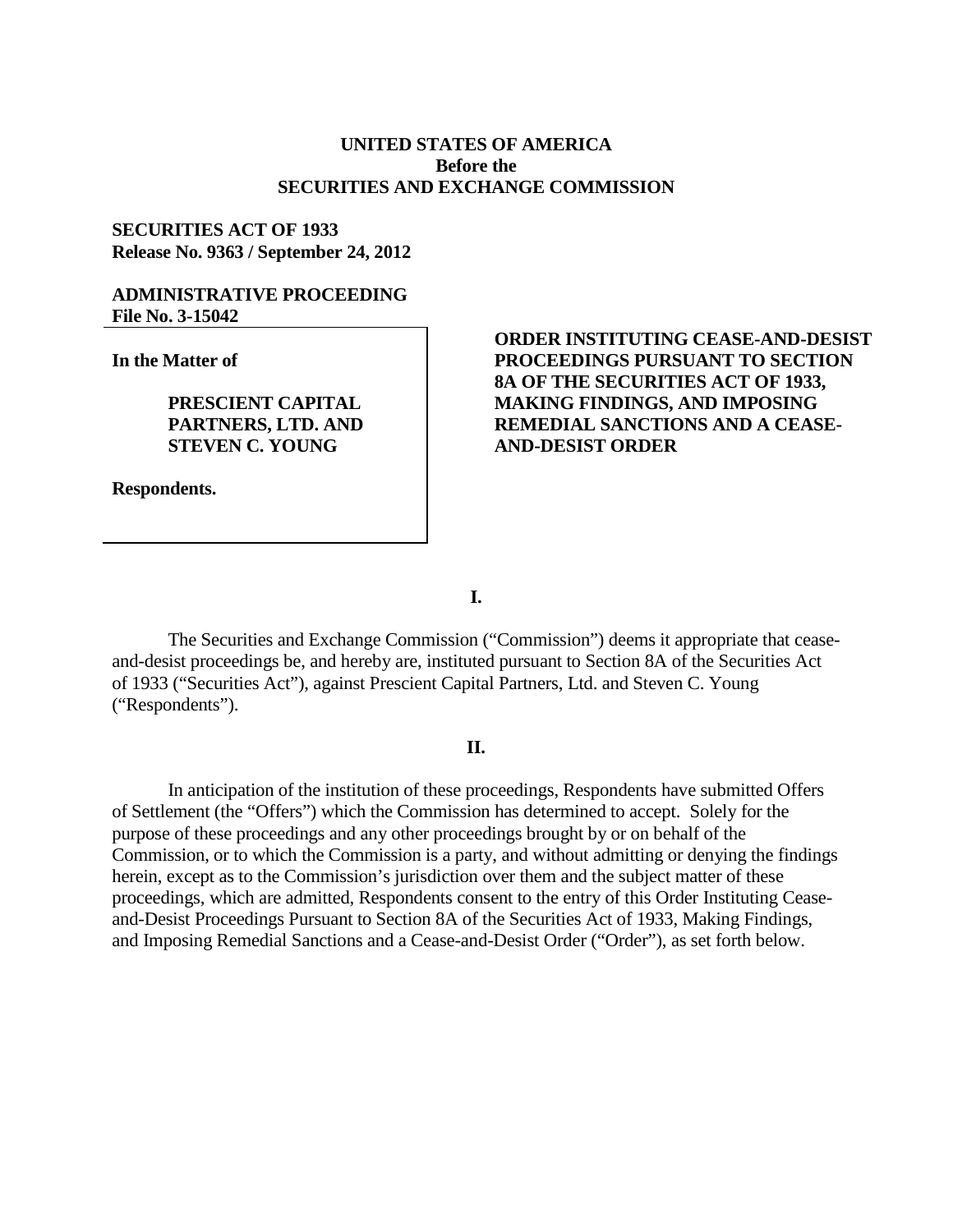## **UNITED STATES OF AMERICA Before the SECURITIES AND EXCHANGE COMMISSION**

## **SECURITIES ACT OF 1933 Release No. 9363 / September 24, 2012**

### **ADMINISTRATIVE PROCEEDING File No. 3-15042**

**In the Matter of**

**PRESCIENT CAPITAL PARTNERS, LTD. AND STEVEN C. YOUNG** 

**Respondents.**

# **ORDER INSTITUTING CEASE-AND-DESIST PROCEEDINGS PURSUANT TO SECTION 8A OF THE SECURITIES ACT OF 1933, MAKING FINDINGS, AND IMPOSING REMEDIAL SANCTIONS AND A CEASE-AND-DESIST ORDER**

**I.**

The Securities and Exchange Commission ("Commission") deems it appropriate that ceaseand-desist proceedings be, and hereby are, instituted pursuant to Section 8A of the Securities Act of 1933 ("Securities Act"), against Prescient Capital Partners, Ltd. and Steven C. Young ("Respondents").

### **II.**

In anticipation of the institution of these proceedings, Respondents have submitted Offers of Settlement (the "Offers") which the Commission has determined to accept. Solely for the purpose of these proceedings and any other proceedings brought by or on behalf of the Commission, or to which the Commission is a party, and without admitting or denying the findings herein, except as to the Commission's jurisdiction over them and the subject matter of these proceedings, which are admitted, Respondents consent to the entry of this Order Instituting Ceaseand-Desist Proceedings Pursuant to Section 8A of the Securities Act of 1933, Making Findings, and Imposing Remedial Sanctions and a Cease-and-Desist Order ("Order"), as set forth below.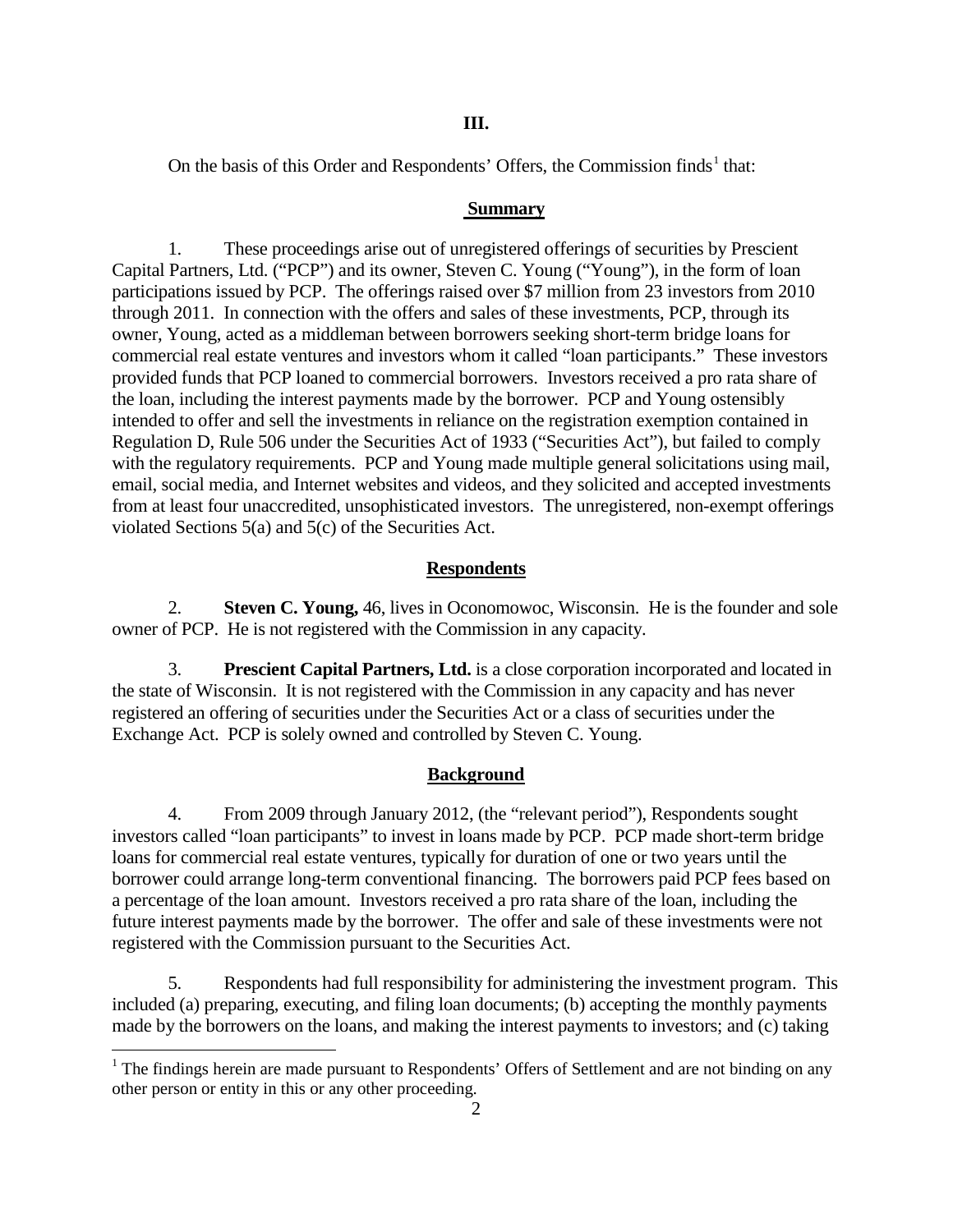On the basis of this Order and Respondents' Offers, the Commission finds<sup>[1](#page-1-0)</sup> that:

### **Summary**

1. These proceedings arise out of unregistered offerings of securities by Prescient Capital Partners, Ltd. ("PCP") and its owner, Steven C. Young ("Young"), in the form of loan participations issued by PCP. The offerings raised over \$7 million from 23 investors from 2010 through 2011. In connection with the offers and sales of these investments, PCP, through its owner, Young, acted as a middleman between borrowers seeking short-term bridge loans for commercial real estate ventures and investors whom it called "loan participants." These investors provided funds that PCP loaned to commercial borrowers. Investors received a pro rata share of the loan, including the interest payments made by the borrower. PCP and Young ostensibly intended to offer and sell the investments in reliance on the registration exemption contained in Regulation D, Rule 506 under the Securities Act of 1933 ("Securities Act"), but failed to comply with the regulatory requirements. PCP and Young made multiple general solicitations using mail, email, social media, and Internet websites and videos, and they solicited and accepted investments from at least four unaccredited, unsophisticated investors. The unregistered, non-exempt offerings violated Sections 5(a) and 5(c) of the Securities Act.

## **Respondents**

2. **Steven C. Young,** 46, lives in Oconomowoc, Wisconsin. He is the founder and sole owner of PCP. He is not registered with the Commission in any capacity.

3. **Prescient Capital Partners, Ltd.** is a close corporation incorporated and located in the state of Wisconsin. It is not registered with the Commission in any capacity and has never registered an offering of securities under the Securities Act or a class of securities under the Exchange Act. PCP is solely owned and controlled by Steven C. Young.

## **Background**

4. From 2009 through January 2012, (the "relevant period"), Respondents sought investors called "loan participants" to invest in loans made by PCP. PCP made short-term bridge loans for commercial real estate ventures, typically for duration of one or two years until the borrower could arrange long-term conventional financing. The borrowers paid PCP fees based on a percentage of the loan amount. Investors received a pro rata share of the loan, including the future interest payments made by the borrower. The offer and sale of these investments were not registered with the Commission pursuant to the Securities Act.

5. Respondents had full responsibility for administering the investment program. This included (a) preparing, executing, and filing loan documents; (b) accepting the monthly payments made by the borrowers on the loans, and making the interest payments to investors; and (c) taking

<span id="page-1-0"></span><sup>&</sup>lt;sup>1</sup> The findings herein are made pursuant to Respondents' Offers of Settlement and are not binding on any other person or entity in this or any other proceeding.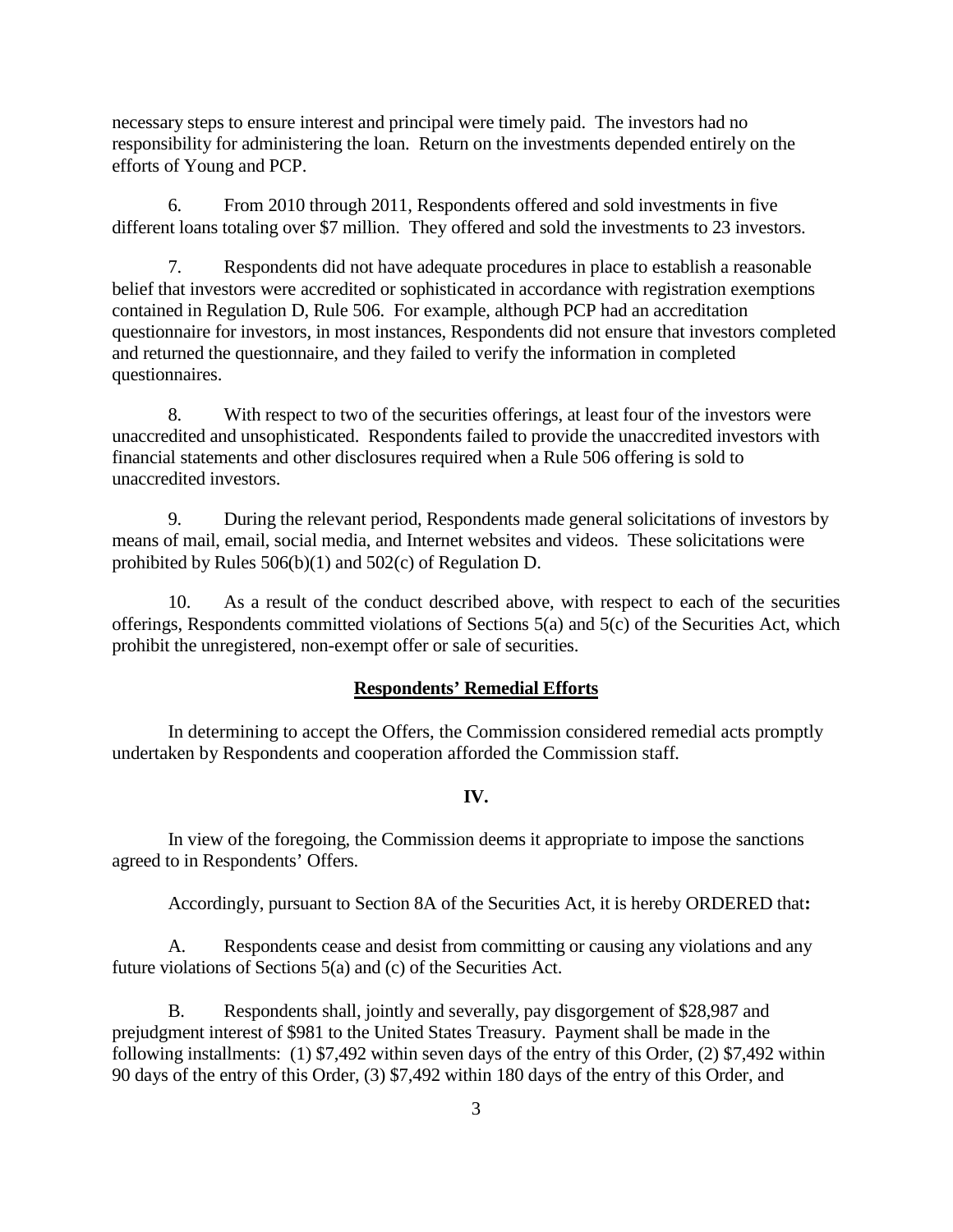necessary steps to ensure interest and principal were timely paid. The investors had no responsibility for administering the loan. Return on the investments depended entirely on the efforts of Young and PCP.

6. From 2010 through 2011, Respondents offered and sold investments in five different loans totaling over \$7 million. They offered and sold the investments to 23 investors.

7. Respondents did not have adequate procedures in place to establish a reasonable belief that investors were accredited or sophisticated in accordance with registration exemptions contained in Regulation D, Rule 506. For example, although PCP had an accreditation questionnaire for investors, in most instances, Respondents did not ensure that investors completed and returned the questionnaire, and they failed to verify the information in completed questionnaires.

8. With respect to two of the securities offerings, at least four of the investors were unaccredited and unsophisticated. Respondents failed to provide the unaccredited investors with financial statements and other disclosures required when a Rule 506 offering is sold to unaccredited investors.

9. During the relevant period, Respondents made general solicitations of investors by means of mail, email, social media, and Internet websites and videos. These solicitations were prohibited by Rules 506(b)(1) and 502(c) of Regulation D.

10. As a result of the conduct described above, with respect to each of the securities offerings, Respondents committed violations of Sections 5(a) and 5(c) of the Securities Act, which prohibit the unregistered, non-exempt offer or sale of securities.

### **Respondents' Remedial Efforts**

In determining to accept the Offers, the Commission considered remedial acts promptly undertaken by Respondents and cooperation afforded the Commission staff*.* 

### **IV.**

In view of the foregoing, the Commission deems it appropriate to impose the sanctions agreed to in Respondents' Offers.

Accordingly, pursuant to Section 8A of the Securities Act, it is hereby ORDERED that**:**

A. Respondents cease and desist from committing or causing any violations and any future violations of Sections 5(a) and (c) of the Securities Act.

B. Respondents shall, jointly and severally, pay disgorgement of \$28,987 and prejudgment interest of \$981 to the United States Treasury. Payment shall be made in the following installments: (1) \$7,492 within seven days of the entry of this Order, (2) \$7,492 within 90 days of the entry of this Order, (3) \$7,492 within 180 days of the entry of this Order, and